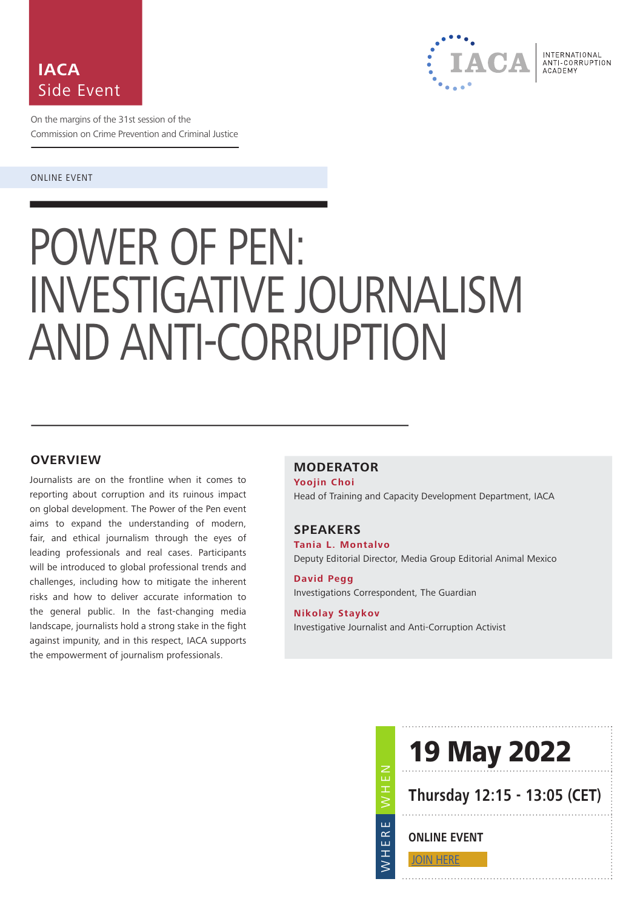### **IACA** Side Event



On the margins of the 31st session of the Commission on Crime Prevention and Criminal Justice

ONLINE EVENT

# POWER OF PEN: INVESTIGATIVE JOURNALISM AND ANTI-CORRUPTION

### **OVERVIEW**

Journalists are on the frontline when it comes to reporting about corruption and its ruinous impact on global development. The Power of the Pen event aims to expand the understanding of modern, fair, and ethical journalism through the eyes of leading professionals and real cases. Participants will be introduced to global professional trends and challenges, including how to mitigate the inherent risks and how to deliver accurate information to the general public. In the fast-changing media landscape, journalists hold a strong stake in the fight against impunity, and in this respect, IACA supports the empowerment of journalism professionals.

### **MODERATOR**

**Yoojin Choi** Head of Training and Capacity Development Department, IACA

### **SPEAKERS**

**Tania L. Montalvo**  Deputy Editorial Director, Media Group Editorial Animal Mexico

**David Pegg** Investigations Correspondent, The Guardian

**Nikolay Staykov** Investigative Journalist and Anti-Corruption Activist